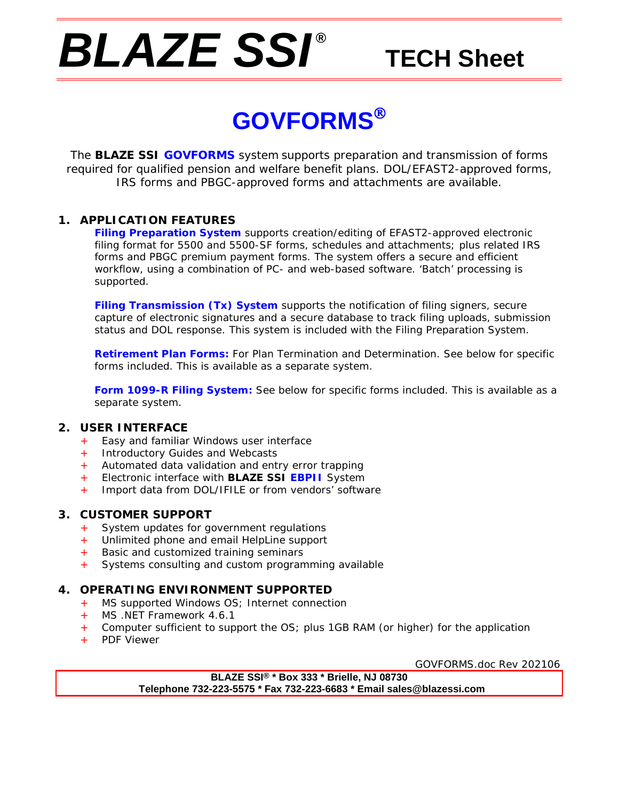# *BLAZE SSI ®*

# **TECH Sheet**

# **GOVFORMS**

The **BLAZE SSI GOVFORMS** system supports preparation and transmission of forms required for qualified pension and welfare benefit plans. DOL/EFAST2-approved forms, IRS forms and PBGC-approved forms and attachments are available.

### **1. APPLICATION FEATURES**

**Filing Preparation System** supports creation/editing of EFAST2-approved electronic filing format for 5500 and 5500-SF forms, schedules and attachments; plus related IRS forms and PBGC premium payment forms. The system offers a secure and efficient workflow, using a combination of PC- and web-based software. 'Batch' processing is supported.

**Filing Transmission (Tx) System** supports the notification of filing signers, secure capture of electronic signatures and a secure database to track filing uploads, submission status and DOL response. This system is included with the Filing Preparation System.

**Retirement Plan Forms:** For Plan Termination and Determination. See below for specific forms included. This is available as a separate system.

**Form 1099-R Filing System:** See below for specific forms included. This is available as a separate system.

## **2. USER INTERFACE**

- + Easy and familiar Windows user interface
- + Introductory Guides and Webcasts
- + Automated data validation and entry error trapping
- + Electronic interface with **BLAZE SSI EBPII** System
- + Import data from DOL/IFILE or from vendors' software

### **3. CUSTOMER SUPPORT**

- + System updates for government regulations
- Unlimited phone and email HelpLine support
- + Basic and customized training seminars<br>+ Systems consulting and custom program
- Systems consulting and custom programming available

### **4. OPERATING ENVIRONMENT SUPPORTED**

- + MS supported Windows OS; Internet connection
- MS .NET Framework 4.6.1
- + Computer sufficient to support the OS; plus 1GB RAM (or higher) for the application
- + PDF Viewer

GOVFORMS.doc Rev 202106

**BLAZE SSI® \* Box 333 \* Brielle, NJ 08730 Telephone 732-223-5575 \* Fax 732-223-6683 \* Email sales@blazessi.com**